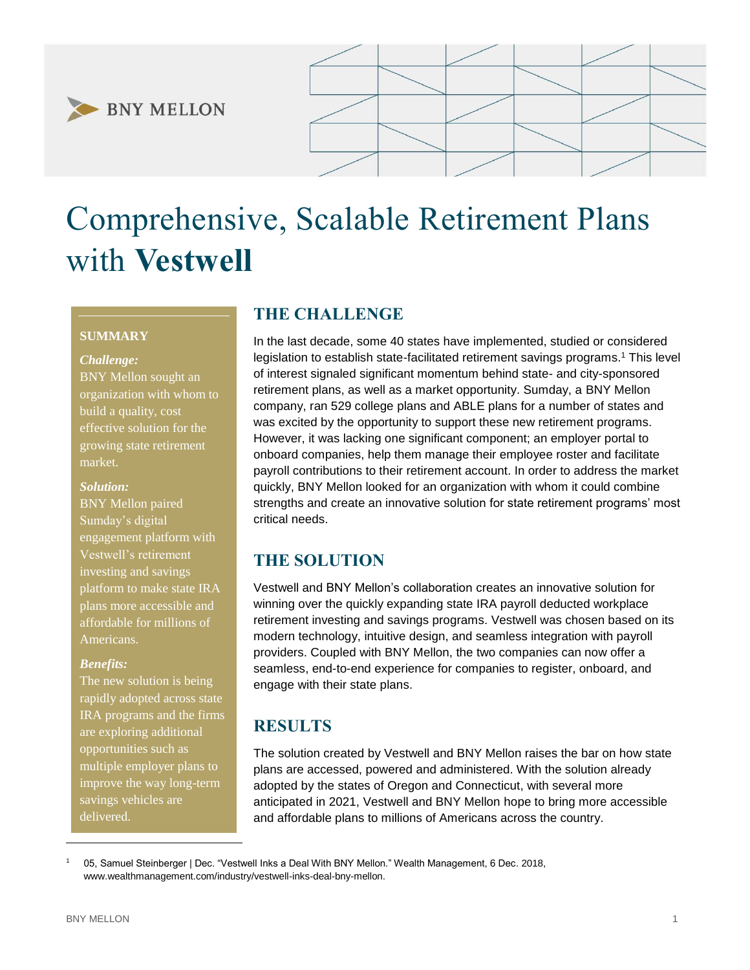



# Comprehensive, Scalable Retirement Plans with **Vestwell**

### **SUMMARY**

#### *Challenge:*

BNY Mellon sought an organization with whom to build a quality, cost effective solution for the growing state retirement market.

#### *Solution:*

BNY Mellon paired Sumday's digital engagement platform with Vestwell's retirement investing and savings platform to make state IRA plans more accessible and affordable for millions of Americans.

#### *Benefits:*

The new solution is being rapidly adopted across state IRA programs and the firms are exploring additional opportunities such as multiple employer plans to improve the way long-term savings vehicles are delivered.

## **THE CHALLENGE**

In the last decade, some 40 states have implemented, studied or considered legislation to establish state-facilitated retirement savings programs.<sup>1</sup> This level of interest signaled significant momentum behind state- and city-sponsored retirement plans, as well as a market opportunity. Sumday, a BNY Mellon company, ran 529 college plans and ABLE plans for a number of states and was excited by the opportunity to support these new retirement programs. However, it was lacking one significant component; an employer portal to onboard companies, help them manage their employee roster and facilitate payroll contributions to their retirement account. In order to address the market quickly, BNY Mellon looked for an organization with whom it could combine strengths and create an innovative solution for state retirement programs' most critical needs.

## **THE SOLUTION**

Vestwell and BNY Mellon's collaboration creates an innovative solution for winning over the quickly expanding state IRA payroll deducted workplace retirement investing and savings programs. Vestwell was chosen based on its modern technology, intuitive design, and seamless integration with payroll providers. Coupled with BNY Mellon, the two companies can now offer a seamless, end-to-end experience for companies to register, onboard, and engage with their state plans.

## **RESULTS**

The solution created by Vestwell and BNY Mellon raises the bar on how state plans are accessed, powered and administered. With the solution already adopted by the states of Oregon and Connecticut, with several more anticipated in 2021, Vestwell and BNY Mellon hope to bring more accessible and affordable plans to millions of Americans across the country.

<sup>1</sup> 05, Samuel Steinberger | Dec. "Vestwell Inks a Deal With BNY Mellon." Wealth Management, 6 Dec. 2018, www.wealthmanagement.com/industry/vestwell-inks-deal-bny-mellon.

l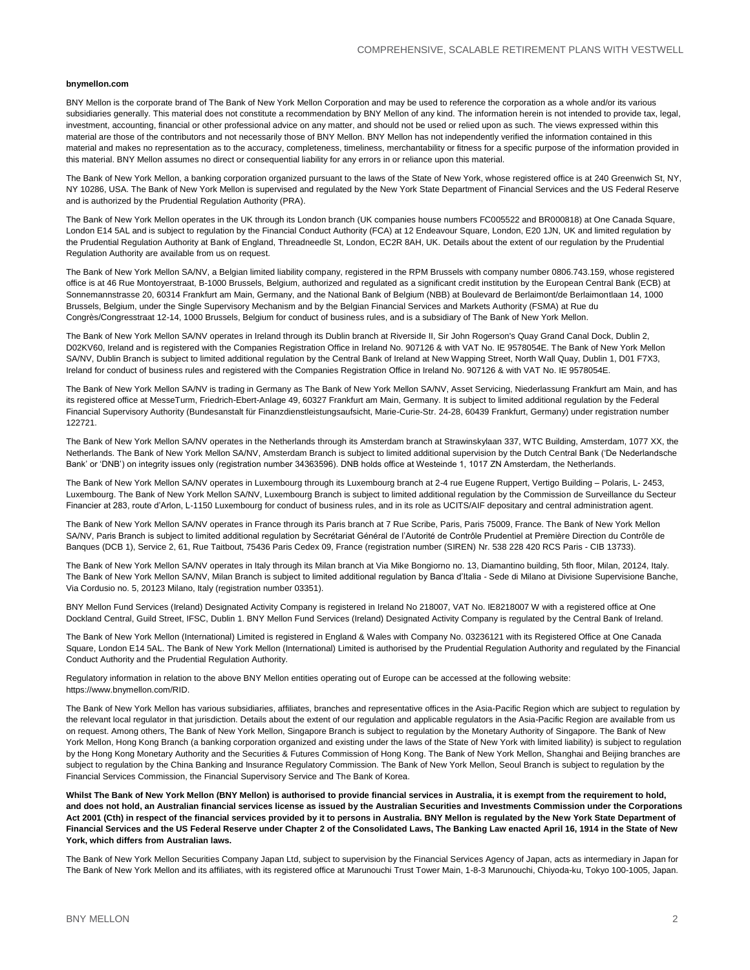#### **bnymellon.com**

BNY Mellon is the corporate brand of The Bank of New York Mellon Corporation and may be used to reference the corporation as a whole and/or its various subsidiaries generally. This material does not constitute a recommendation by BNY Mellon of any kind. The information herein is not intended to provide tax, legal, investment, accounting, financial or other professional advice on any matter, and should not be used or relied upon as such. The views expressed within this material are those of the contributors and not necessarily those of BNY Mellon. BNY Mellon has not independently verified the information contained in this material and makes no representation as to the accuracy, completeness, timeliness, merchantability or fitness for a specific purpose of the information provided in this material. BNY Mellon assumes no direct or consequential liability for any errors in or reliance upon this material.

The Bank of New York Mellon, a banking corporation organized pursuant to the laws of the State of New York, whose registered office is at 240 Greenwich St, NY, NY 10286, USA. The Bank of New York Mellon is supervised and regulated by the New York State Department of Financial Services and the US Federal Reserve and is authorized by the Prudential Regulation Authority (PRA).

The Bank of New York Mellon operates in the UK through its London branch (UK companies house numbers FC005522 and BR000818) at One Canada Square, London E14 5AL and is subject to regulation by the Financial Conduct Authority (FCA) at 12 Endeavour Square, London, E20 1JN, UK and limited regulation by the Prudential Regulation Authority at Bank of England, Threadneedle St, London, EC2R 8AH, UK. Details about the extent of our regulation by the Prudential Regulation Authority are available from us on request.

The Bank of New York Mellon SA/NV, a Belgian limited liability company, registered in the RPM Brussels with company number 0806.743.159, whose registered office is at 46 Rue Montoyerstraat, B-1000 Brussels, Belgium, authorized and regulated as a significant credit institution by the European Central Bank (ECB) at Sonnemannstrasse 20, 60314 Frankfurt am Main, Germany, and the National Bank of Belgium (NBB) at Boulevard de Berlaimont/de Berlaimontlaan 14, 1000 Brussels, Belgium, under the Single Supervisory Mechanism and by the Belgian Financial Services and Markets Authority (FSMA) at Rue du Congrès/Congresstraat 12-14, 1000 Brussels, Belgium for conduct of business rules, and is a subsidiary of The Bank of New York Mellon.

The Bank of New York Mellon SA/NV operates in Ireland through its Dublin branch at Riverside II, Sir John Rogerson's Quay Grand Canal Dock, Dublin 2, D02KV60, Ireland and is registered with the Companies Registration Office in Ireland No. 907126 & with VAT No. IE 9578054E. The Bank of New York Mellon SA/NV, Dublin Branch is subject to limited additional regulation by the Central Bank of Ireland at New Wapping Street, North Wall Quay, Dublin 1, D01 F7X3, Ireland for conduct of business rules and registered with the Companies Registration Office in Ireland No. 907126 & with VAT No. IE 9578054E.

The Bank of New York Mellon SA/NV is trading in Germany as The Bank of New York Mellon SA/NV, Asset Servicing, Niederlassung Frankfurt am Main, and has its registered office at MesseTurm, Friedrich-Ebert-Anlage 49, 60327 Frankfurt am Main, Germany. It is subject to limited additional regulation by the Federal Financial Supervisory Authority (Bundesanstalt für Finanzdienstleistungsaufsicht, Marie-Curie-Str. 24-28, 60439 Frankfurt, Germany) under registration number 122721.

The Bank of New York Mellon SA/NV operates in the Netherlands through its Amsterdam branch at Strawinskylaan 337, WTC Building, Amsterdam, 1077 XX, the Netherlands. The Bank of New York Mellon SA/NV, Amsterdam Branch is subject to limited additional supervision by the Dutch Central Bank ('De Nederlandsche Bank' or 'DNB') on integrity issues only (registration number 34363596). DNB holds office at Westeinde 1, 1017 ZN Amsterdam, the Netherlands.

The Bank of New York Mellon SA/NV operates in Luxembourg through its Luxembourg branch at 2-4 rue Eugene Ruppert, Vertigo Building – Polaris, L- 2453, Luxembourg. The Bank of New York Mellon SA/NV, Luxembourg Branch is subject to limited additional regulation by the Commission de Surveillance du Secteur Financier at 283, route d'Arlon, L-1150 Luxembourg for conduct of business rules, and in its role as UCITS/AIF depositary and central administration agent.

The Bank of New York Mellon SA/NV operates in France through its Paris branch at 7 Rue Scribe, Paris, Paris 75009, France. The Bank of New York Mellon SA/NV, Paris Branch is subject to limited additional regulation by Secrétariat Général de l'Autorité de Contrôle Prudentiel at Première Direction du Contrôle de Banques (DCB 1), Service 2, 61, Rue Taitbout, 75436 Paris Cedex 09, France (registration number (SIREN) Nr. 538 228 420 RCS Paris - CIB 13733).

The Bank of New York Mellon SA/NV operates in Italy through its Milan branch at Via Mike Bongiorno no. 13, Diamantino building, 5th floor, Milan, 20124, Italy. The Bank of New York Mellon SA/NV, Milan Branch is subject to limited additional regulation by Banca d'Italia - Sede di Milano at Divisione Supervisione Banche, Via Cordusio no. 5, 20123 Milano, Italy (registration number 03351).

BNY Mellon Fund Services (Ireland) Designated Activity Company is registered in Ireland No 218007, VAT No. IE8218007 W with a registered office at One Dockland Central, Guild Street, IFSC, Dublin 1. BNY Mellon Fund Services (Ireland) Designated Activity Company is regulated by the Central Bank of Ireland.

The Bank of New York Mellon (International) Limited is registered in England & Wales with Company No. 03236121 with its Registered Office at One Canada Square, London E14 5AL. The Bank of New York Mellon (International) Limited is authorised by the Prudential Regulation Authority and regulated by the Financial Conduct Authority and the Prudential Regulation Authority.

Regulatory information in relation to the above BNY Mellon entities operating out of Europe can be accessed at the following website: https://www.bnymellon.com/RID.

The Bank of New York Mellon has various subsidiaries, affiliates, branches and representative offices in the Asia-Pacific Region which are subject to regulation by the relevant local regulator in that jurisdiction. Details about the extent of our regulation and applicable regulators in the Asia-Pacific Region are available from us on request. Among others, The Bank of New York Mellon, Singapore Branch is subject to regulation by the Monetary Authority of Singapore. The Bank of New York Mellon, Hong Kong Branch (a banking corporation organized and existing under the laws of the State of New York with limited liability) is subject to regulation by the Hong Kong Monetary Authority and the Securities & Futures Commission of Hong Kong. The Bank of New York Mellon, Shanghai and Beijing branches are subject to regulation by the China Banking and Insurance Regulatory Commission. The Bank of New York Mellon, Seoul Branch is subject to regulation by the Financial Services Commission, the Financial Supervisory Service and The Bank of Korea.

**Whilst The Bank of New York Mellon (BNY Mellon) is authorised to provide financial services in Australia, it is exempt from the requirement to hold, and does not hold, an Australian financial services license as issued by the Australian Securities and Investments Commission under the Corporations Act 2001 (Cth) in respect of the financial services provided by it to persons in Australia. BNY Mellon is regulated by the New York State Department of Financial Services and the US Federal Reserve under Chapter 2 of the Consolidated Laws, The Banking Law enacted April 16, 1914 in the State of New York, which differs from Australian laws.**

The Bank of New York Mellon Securities Company Japan Ltd, subject to supervision by the Financial Services Agency of Japan, acts as intermediary in Japan for The Bank of New York Mellon and its affiliates, with its registered office at Marunouchi Trust Tower Main, 1-8-3 Marunouchi, Chiyoda-ku, Tokyo 100-1005, Japan.